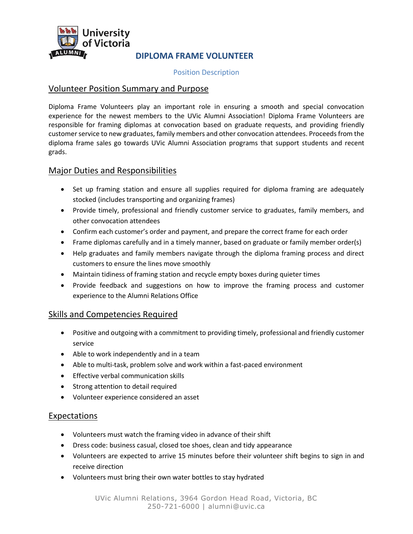

## **DIPLOMA FRAME VOLUNTEER**

#### Position Description

### Volunteer Position Summary and Purpose

Diploma Frame Volunteers play an important role in ensuring a smooth and special convocation experience for the newest members to the UVic Alumni Association! Diploma Frame Volunteers are responsible for framing diplomas at convocation based on graduate requests, and providing friendly customer service to new graduates, family members and other convocation attendees. Proceeds from the diploma frame sales go towards UVic Alumni Association programs that support students and recent grads.

### Major Duties and Responsibilities

- Set up framing station and ensure all supplies required for diploma framing are adequately stocked (includes transporting and organizing frames)
- Provide timely, professional and friendly customer service to graduates, family members, and other convocation attendees
- Confirm each customer's order and payment, and prepare the correct frame for each order
- Frame diplomas carefully and in a timely manner, based on graduate or family member order(s)
- Help graduates and family members navigate through the diploma framing process and direct customers to ensure the lines move smoothly
- Maintain tidiness of framing station and recycle empty boxes during quieter times
- Provide feedback and suggestions on how to improve the framing process and customer experience to the Alumni Relations Office

## Skills and Competencies Required

- Positive and outgoing with a commitment to providing timely, professional and friendly customer service
- Able to work independently and in a team
- Able to multi-task, problem solve and work within a fast-paced environment
- **•** Effective verbal communication skills
- Strong attention to detail required
- Volunteer experience considered an asset

### Expectations

- Volunteers must watch the framing video in advance of their shift
- Dress code: business casual, closed toe shoes, clean and tidy appearance
- Volunteers are expected to arrive 15 minutes before their volunteer shift begins to sign in and receive direction
- Volunteers must bring their own water bottles to stay hydrated